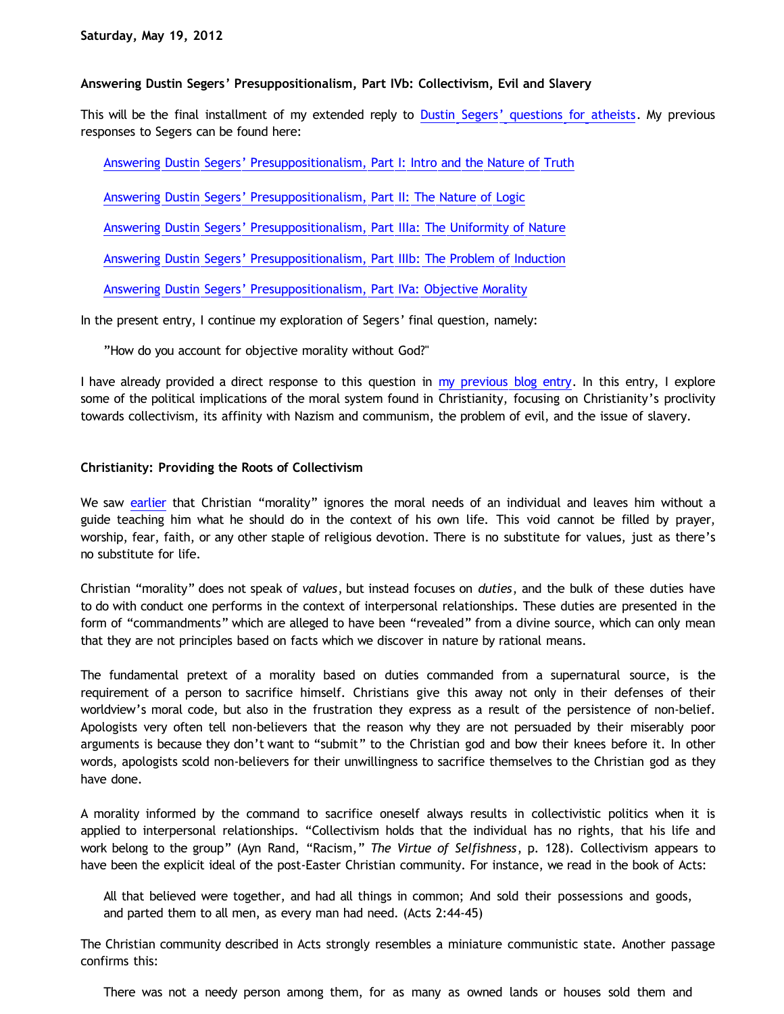# **Answering Dustin Segers' Presuppositionalism, Part IVb: Collectivism, Evil and Slavery**

This will be the final installment of my extended reply to [Dustin Segers' questions for atheists](http://graceinthetriad.blogspot.com/2012/03/outreach-report-reason-rally-2012.html). My previous responses to Segers can be found here:

[Answering Dustin Segers' Presuppositionalism, Part I: Intro and the Nature of Truth](http://bahnsenburner.blogspot.com/2012/04/answering-dustin-segers.html)

[Answering Dustin Segers' Presuppositionalism, Part II: The Nature of Logic](http://bahnsenburner.blogspot.com/2012/04/answering-dustin-segers_08.html)

[Answering Dustin Segers' Presuppositionalism, Part IIIa: The Uniformity of Nature](http://bahnsenburner.blogspot.com/2012/04/answering-dustin-segers_12.html)

[Answering Dustin Segers' Presuppositionalism, Part IIIb: The Problem of Induction](http://bahnsenburner.blogspot.com/2012/04/answering-dustin-segers_15.html)

[Answering Dustin Segers' Presuppositionalism, Part IVa: Objective Morality](http://bahnsenburner.blogspot.com/2012/05/answering-dustin-segers.html)

In the present entry, I continue my exploration of Segers' final question, namely:

"How do you account for objective morality without God?"

I have already provided a direct response to this question in [my previous blog entry](http://bahnsenburner.blogspot.com/2012/05/answering-dustin-segers.html). In this entry, I explore some of the political implications of the moral system found in Christianity, focusing on Christianity's proclivity towards collectivism, its affinity with Nazism and communism, the problem of evil, and the issue of slavery.

## **Christianity: Providing the Roots of Collectivism**

We saw [earlier](http://bahnsenburner.blogspot.com/2012/05/answering-dustin-segers.html) that Christian "morality" ignores the moral needs of an individual and leaves him without a guide teaching him what he should do in the context of his own life. This void cannot be filled by prayer, worship, fear, faith, or any other staple of religious devotion. There is no substitute for values, just as there's no substitute for life.

Christian "morality" does not speak of *values*, but instead focuses on *duties*, and the bulk of these duties have to do with conduct one performs in the context of interpersonal relationships. These duties are presented in the form of "commandments" which are alleged to have been "revealed" from a divine source, which can only mean that they are not principles based on facts which we discover in nature by rational means.

The fundamental pretext of a morality based on duties commanded from a supernatural source, is the requirement of a person to sacrifice himself. Christians give this away not only in their defenses of their worldview's moral code, but also in the frustration they express as a result of the persistence of non-belief. Apologists very often tell non-believers that the reason why they are not persuaded by their miserably poor arguments is because they don't want to "submit" to the Christian god and bow their knees before it. In other words, apologists scold non-believers for their unwillingness to sacrifice themselves to the Christian god as they have done.

A morality informed by the command to sacrifice oneself always results in collectivistic politics when it is applied to interpersonal relationships. "Collectivism holds that the individual has no rights, that his life and work belong to the group" (Ayn Rand, "Racism," *The Virtue of Selfishness*, p. 128). Collectivism appears to have been the explicit ideal of the post-Easter Christian community. For instance, we read in the book of Acts:

All that believed were together, and had all things in common; And sold their possessions and goods, and parted them to all men, as every man had need. (Acts 2:44-45)

The Christian community described in Acts strongly resembles a miniature communistic state. Another passage confirms this:

There was not a needy person among them, for as many as owned lands or houses sold them and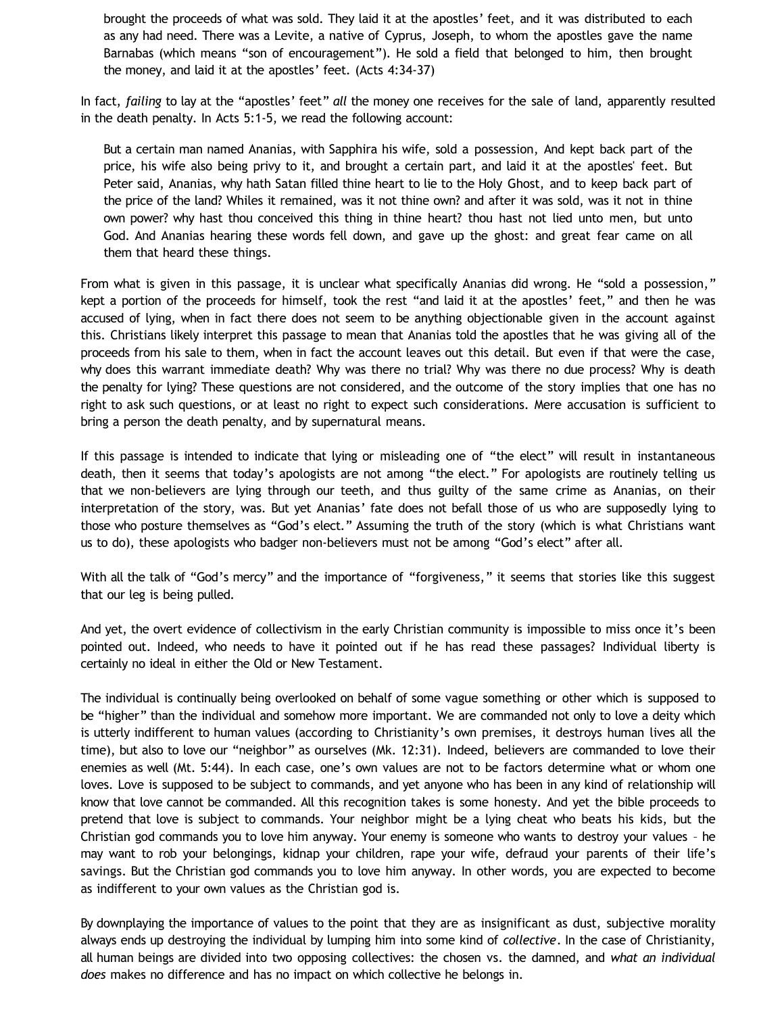brought the proceeds of what was sold. They laid it at the apostles' feet, and it was distributed to each as any had need. There was a Levite, a native of Cyprus, Joseph, to whom the apostles gave the name Barnabas (which means "son of encouragement"). He sold a field that belonged to him, then brought the money, and laid it at the apostles' feet. (Acts 4:34-37)

In fact, *failing* to lay at the "apostles' feet" *all* the money one receives for the sale of land, apparently resulted in the death penalty. In Acts 5:1-5, we read the following account:

But a certain man named Ananias, with Sapphira his wife, sold a possession, And kept back part of the price, his wife also being privy to it, and brought a certain part, and laid it at the apostles' feet. But Peter said, Ananias, why hath Satan filled thine heart to lie to the Holy Ghost, and to keep back part of the price of the land? Whiles it remained, was it not thine own? and after it was sold, was it not in thine own power? why hast thou conceived this thing in thine heart? thou hast not lied unto men, but unto God. And Ananias hearing these words fell down, and gave up the ghost: and great fear came on all them that heard these things.

From what is given in this passage, it is unclear what specifically Ananias did wrong. He "sold a possession," kept a portion of the proceeds for himself, took the rest "and laid it at the apostles' feet," and then he was accused of lying, when in fact there does not seem to be anything objectionable given in the account against this. Christians likely interpret this passage to mean that Ananias told the apostles that he was giving all of the proceeds from his sale to them, when in fact the account leaves out this detail. But even if that were the case, why does this warrant immediate death? Why was there no trial? Why was there no due process? Why is death the penalty for lying? These questions are not considered, and the outcome of the story implies that one has no right to ask such questions, or at least no right to expect such considerations. Mere accusation is sufficient to bring a person the death penalty, and by supernatural means.

If this passage is intended to indicate that lying or misleading one of "the elect" will result in instantaneous death, then it seems that today's apologists are not among "the elect." For apologists are routinely telling us that we non-believers are lying through our teeth, and thus guilty of the same crime as Ananias, on their interpretation of the story, was. But yet Ananias' fate does not befall those of us who are supposedly lying to those who posture themselves as "God's elect." Assuming the truth of the story (which is what Christians want us to do), these apologists who badger non-believers must not be among "God's elect" after all.

With all the talk of "God's mercy" and the importance of "forgiveness," it seems that stories like this suggest that our leg is being pulled.

And yet, the overt evidence of collectivism in the early Christian community is impossible to miss once it's been pointed out. Indeed, who needs to have it pointed out if he has read these passages? Individual liberty is certainly no ideal in either the Old or New Testament.

The individual is continually being overlooked on behalf of some vague something or other which is supposed to be "higher" than the individual and somehow more important. We are commanded not only to love a deity which is utterly indifferent to human values (according to Christianity's own premises, it destroys human lives all the time), but also to love our "neighbor" as ourselves (Mk. 12:31). Indeed, believers are commanded to love their enemies as well (Mt. 5:44). In each case, one's own values are not to be factors determine what or whom one loves. Love is supposed to be subject to commands, and yet anyone who has been in any kind of relationship will know that love cannot be commanded. All this recognition takes is some honesty. And yet the bible proceeds to pretend that love is subject to commands. Your neighbor might be a lying cheat who beats his kids, but the Christian god commands you to love him anyway. Your enemy is someone who wants to destroy your values – he may want to rob your belongings, kidnap your children, rape your wife, defraud your parents of their life's savings. But the Christian god commands you to love him anyway. In other words, you are expected to become as indifferent to your own values as the Christian god is.

By downplaying the importance of values to the point that they are as insignificant as dust, subjective morality always ends up destroying the individual by lumping him into some kind of *collective*. In the case of Christianity, all human beings are divided into two opposing collectives: the chosen vs. the damned, and *what an individual does* makes no difference and has no impact on which collective he belongs in.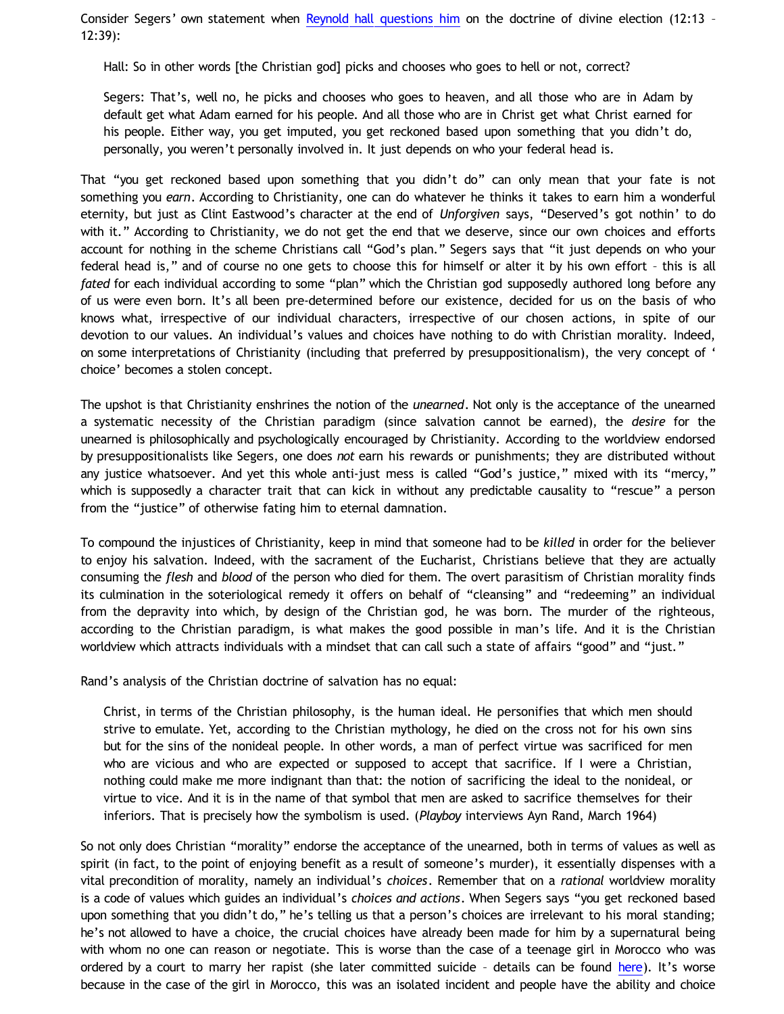Consider Segers' own statement when [Reynold hall questions him](http://fundamentally-flawed.com/pods/?p=episode&name=2011-11-12_dustinsegersandreynoldhall.mp3) on the doctrine of divine election (12:13 – 12:39):

Hall: So in other words [the Christian god] picks and chooses who goes to hell or not, correct?

Segers: That's, well no, he picks and chooses who goes to heaven, and all those who are in Adam by default get what Adam earned for his people. And all those who are in Christ get what Christ earned for his people. Either way, you get imputed, you get reckoned based upon something that you didn't do, personally, you weren't personally involved in. It just depends on who your federal head is.

That "you get reckoned based upon something that you didn't do" can only mean that your fate is not something you *earn*. According to Christianity, one can do whatever he thinks it takes to earn him a wonderful eternity, but just as Clint Eastwood's character at the end of *Unforgiven* says, "Deserved's got nothin' to do with it." According to Christianity, we do not get the end that we deserve, since our own choices and efforts account for nothing in the scheme Christians call "God's plan." Segers says that "it just depends on who your federal head is," and of course no one gets to choose this for himself or alter it by his own effort – this is all *fated* for each individual according to some "plan" which the Christian god supposedly authored long before any of us were even born. It's all been pre-determined before our existence, decided for us on the basis of who knows what, irrespective of our individual characters, irrespective of our chosen actions, in spite of our devotion to our values. An individual's values and choices have nothing to do with Christian morality. Indeed, on some interpretations of Christianity (including that preferred by presuppositionalism), the very concept of ' choice' becomes a stolen concept.

The upshot is that Christianity enshrines the notion of the *unearned*. Not only is the acceptance of the unearned a systematic necessity of the Christian paradigm (since salvation cannot be earned), the *desire* for the unearned is philosophically and psychologically encouraged by Christianity. According to the worldview endorsed by presuppositionalists like Segers, one does *not* earn his rewards or punishments; they are distributed without any justice whatsoever. And yet this whole anti-just mess is called "God's justice," mixed with its "mercy," which is supposedly a character trait that can kick in without any predictable causality to "rescue" a person from the "justice" of otherwise fating him to eternal damnation.

To compound the injustices of Christianity, keep in mind that someone had to be *killed* in order for the believer to enjoy his salvation. Indeed, with the sacrament of the Eucharist, Christians believe that they are actually consuming the *flesh* and *blood* of the person who died for them. The overt parasitism of Christian morality finds its culmination in the soteriological remedy it offers on behalf of "cleansing" and "redeeming" an individual from the depravity into which, by design of the Christian god, he was born. The murder of the righteous, according to the Christian paradigm, is what makes the good possible in man's life. And it is the Christian worldview which attracts individuals with a mindset that can call such a state of affairs "good" and "just."

Rand's analysis of the Christian doctrine of salvation has no equal:

Christ, in terms of the Christian philosophy, is the human ideal. He personifies that which men should strive to emulate. Yet, according to the Christian mythology, he died on the cross not for his own sins but for the sins of the nonideal people. In other words, a man of perfect virtue was sacrificed for men who are vicious and who are expected or supposed to accept that sacrifice. If I were a Christian, nothing could make me more indignant than that: the notion of sacrificing the ideal to the nonideal, or virtue to vice. And it is in the name of that symbol that men are asked to sacrifice themselves for their inferiors. That is precisely how the symbolism is used. (*Playboy* interviews Ayn Rand, March 1964)

So not only does Christian "morality" endorse the acceptance of the unearned, both in terms of values as well as spirit (in fact, to the point of enjoying benefit as a result of someone's murder), it essentially dispenses with a vital precondition of morality, namely an individual's *choices*. Remember that on a *rational* worldview morality is a code of values which guides an individual's *choices and actions*. When Segers says "you get reckoned based upon something that you didn't do," he's telling us that a person's choices are irrelevant to his moral standing; he's not allowed to have a choice, the crucial choices have already been made for him by a supernatural being with whom no one can reason or negotiate. This is worse than the case of a teenage girl in Morocco who was ordered by a court to marry her rapist (she later committed suicide – details can be found [here](http://english.alarabiya.net/articles/2012/03/14/200577.html)). It's worse because in the case of the girl in Morocco, this was an isolated incident and people have the ability and choice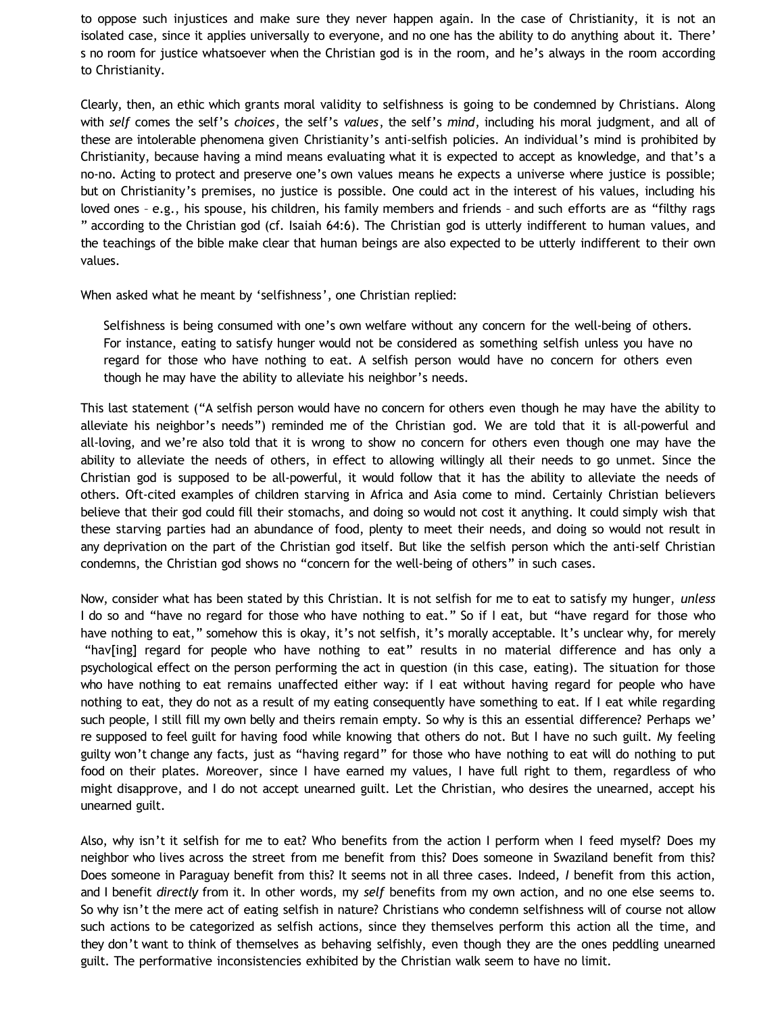to oppose such injustices and make sure they never happen again. In the case of Christianity, it is not an isolated case, since it applies universally to everyone, and no one has the ability to do anything about it. There' s no room for justice whatsoever when the Christian god is in the room, and he's always in the room according to Christianity.

Clearly, then, an ethic which grants moral validity to selfishness is going to be condemned by Christians. Along with *self* comes the self's *choices*, the self's *values*, the self's *mind*, including his moral judgment, and all of these are intolerable phenomena given Christianity's anti-selfish policies. An individual's mind is prohibited by Christianity, because having a mind means evaluating what it is expected to accept as knowledge, and that's a no-no. Acting to protect and preserve one's own values means he expects a universe where justice is possible; but on Christianity's premises, no justice is possible. One could act in the interest of his values, including his loved ones – e.g., his spouse, his children, his family members and friends – and such efforts are as "filthy rags " according to the Christian god (cf. Isaiah 64:6). The Christian god is utterly indifferent to human values, and the teachings of the bible make clear that human beings are also expected to be utterly indifferent to their own values.

When asked what he meant by 'selfishness', one Christian replied:

Selfishness is being consumed with one's own welfare without any concern for the well-being of others. For instance, eating to satisfy hunger would not be considered as something selfish unless you have no regard for those who have nothing to eat. A selfish person would have no concern for others even though he may have the ability to alleviate his neighbor's needs.

This last statement ("A selfish person would have no concern for others even though he may have the ability to alleviate his neighbor's needs") reminded me of the Christian god. We are told that it is all-powerful and all-loving, and we're also told that it is wrong to show no concern for others even though one may have the ability to alleviate the needs of others, in effect to allowing willingly all their needs to go unmet. Since the Christian god is supposed to be all-powerful, it would follow that it has the ability to alleviate the needs of others. Oft-cited examples of children starving in Africa and Asia come to mind. Certainly Christian believers believe that their god could fill their stomachs, and doing so would not cost it anything. It could simply wish that these starving parties had an abundance of food, plenty to meet their needs, and doing so would not result in any deprivation on the part of the Christian god itself. But like the selfish person which the anti-self Christian condemns, the Christian god shows no "concern for the well-being of others" in such cases.

Now, consider what has been stated by this Christian. It is not selfish for me to eat to satisfy my hunger, *unless* I do so and "have no regard for those who have nothing to eat." So if I eat, but "have regard for those who have nothing to eat," somehow this is okay, it's not selfish, it's morally acceptable. It's unclear why, for merely "hav[ing] regard for people who have nothing to eat" results in no material difference and has only a psychological effect on the person performing the act in question (in this case, eating). The situation for those who have nothing to eat remains unaffected either way: if I eat without having regard for people who have nothing to eat, they do not as a result of my eating consequently have something to eat. If I eat while regarding such people, I still fill my own belly and theirs remain empty. So why is this an essential difference? Perhaps we' re supposed to feel guilt for having food while knowing that others do not. But I have no such guilt. My feeling guilty won't change any facts, just as "having regard" for those who have nothing to eat will do nothing to put food on their plates. Moreover, since I have earned my values, I have full right to them, regardless of who might disapprove, and I do not accept unearned guilt. Let the Christian, who desires the unearned, accept his unearned guilt.

Also, why isn't it selfish for me to eat? Who benefits from the action I perform when I feed myself? Does my neighbor who lives across the street from me benefit from this? Does someone in Swaziland benefit from this? Does someone in Paraguay benefit from this? It seems not in all three cases. Indeed, *I* benefit from this action, and I benefit *directly* from it. In other words, my *self* benefits from my own action, and no one else seems to. So why isn't the mere act of eating selfish in nature? Christians who condemn selfishness will of course not allow such actions to be categorized as selfish actions, since they themselves perform this action all the time, and they don't want to think of themselves as behaving selfishly, even though they are the ones peddling unearned guilt. The performative inconsistencies exhibited by the Christian walk seem to have no limit.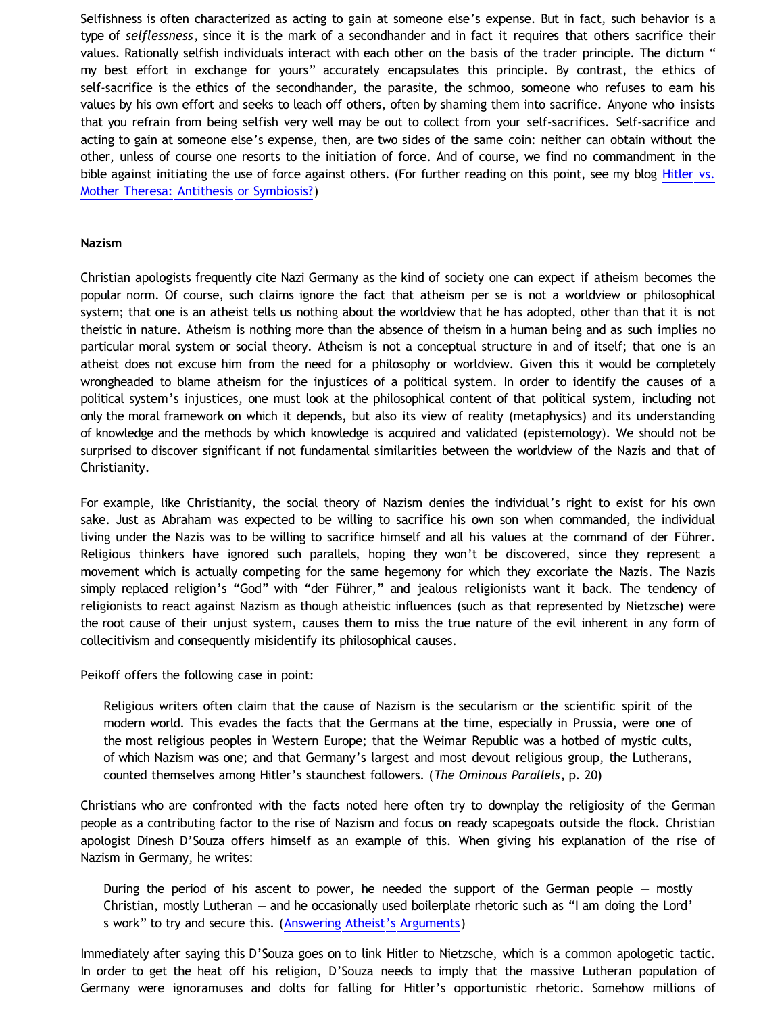Selfishness is often characterized as acting to gain at someone else's expense. But in fact, such behavior is a type of *selflessness*, since it is the mark of a secondhander and in fact it requires that others sacrifice their values. Rationally selfish individuals interact with each other on the basis of the trader principle. The dictum " my best effort in exchange for yours" accurately encapsulates this principle. By contrast, the ethics of self-sacrifice is the ethics of the secondhander, the parasite, the schmoo, someone who refuses to earn his values by his own effort and seeks to leach off others, often by shaming them into sacrifice. Anyone who insists that you refrain from being selfish very well may be out to collect from your self-sacrifices. Self-sacrifice and acting to gain at someone else's expense, then, are two sides of the same coin: neither can obtain without the other, unless of course one resorts to the initiation of force. And of course, we find no commandment in the bible against initiating the use of force against others. (For further reading on this point, see my blog [Hitler vs.](http://bahnsenburner.blogspot.com/2006/04/hitler-vs-mother-theresa-antithesis-or.html) [Mother Theresa: Antithesis or Symbiosis?](http://bahnsenburner.blogspot.com/2006/04/hitler-vs-mother-theresa-antithesis-or.html))

#### **Nazism**

Christian apologists frequently cite Nazi Germany as the kind of society one can expect if atheism becomes the popular norm. Of course, such claims ignore the fact that atheism per se is not a worldview or philosophical system; that one is an atheist tells us nothing about the worldview that he has adopted, other than that it is not theistic in nature. Atheism is nothing more than the absence of theism in a human being and as such implies no particular moral system or social theory. Atheism is not a conceptual structure in and of itself; that one is an atheist does not excuse him from the need for a philosophy or worldview. Given this it would be completely wrongheaded to blame atheism for the injustices of a political system. In order to identify the causes of a political system's injustices, one must look at the philosophical content of that political system, including not only the moral framework on which it depends, but also its view of reality (metaphysics) and its understanding of knowledge and the methods by which knowledge is acquired and validated (epistemology). We should not be surprised to discover significant if not fundamental similarities between the worldview of the Nazis and that of Christianity.

For example, like Christianity, the social theory of Nazism denies the individual's right to exist for his own sake. Just as Abraham was expected to be willing to sacrifice his own son when commanded, the individual living under the Nazis was to be willing to sacrifice himself and all his values at the command of der Führer. Religious thinkers have ignored such parallels, hoping they won't be discovered, since they represent a movement which is actually competing for the same hegemony for which they excoriate the Nazis. The Nazis simply replaced religion's "God" with "der Führer," and jealous religionists want it back. The tendency of religionists to react against Nazism as though atheistic influences (such as that represented by Nietzsche) were the root cause of their unjust system, causes them to miss the true nature of the evil inherent in any form of collecitivism and consequently misidentify its philosophical causes.

Peikoff offers the following case in point:

Religious writers often claim that the cause of Nazism is the secularism or the scientific spirit of the modern world. This evades the facts that the Germans at the time, especially in Prussia, were one of the most religious peoples in Western Europe; that the Weimar Republic was a hotbed of mystic cults, of which Nazism was one; and that Germany's largest and most devout religious group, the Lutherans, counted themselves among Hitler's staunchest followers. (*The Ominous Parallels*, p. 20)

Christians who are confronted with the facts noted here often try to downplay the religiosity of the German people as a contributing factor to the rise of Nazism and focus on ready scapegoats outside the flock. Christian apologist Dinesh D'Souza offers himself as an example of this. When giving his explanation of the rise of Nazism in Germany, he writes:

During the period of his ascent to power, he needed the support of the German people  $-$  mostly Christian, mostly Lutheran — and he occasionally used boilerplate rhetoric such as "I am doing the Lord' s work" to try and secure this. ([Answering Atheist's Arguments](http://catholiceducation.org/articles/apologetics/ap0214.htm))

Immediately after saying this D'Souza goes on to link Hitler to Nietzsche, which is a common apologetic tactic. In order to get the heat off his religion, D'Souza needs to imply that the massive Lutheran population of Germany were ignoramuses and dolts for falling for Hitler's opportunistic rhetoric. Somehow millions of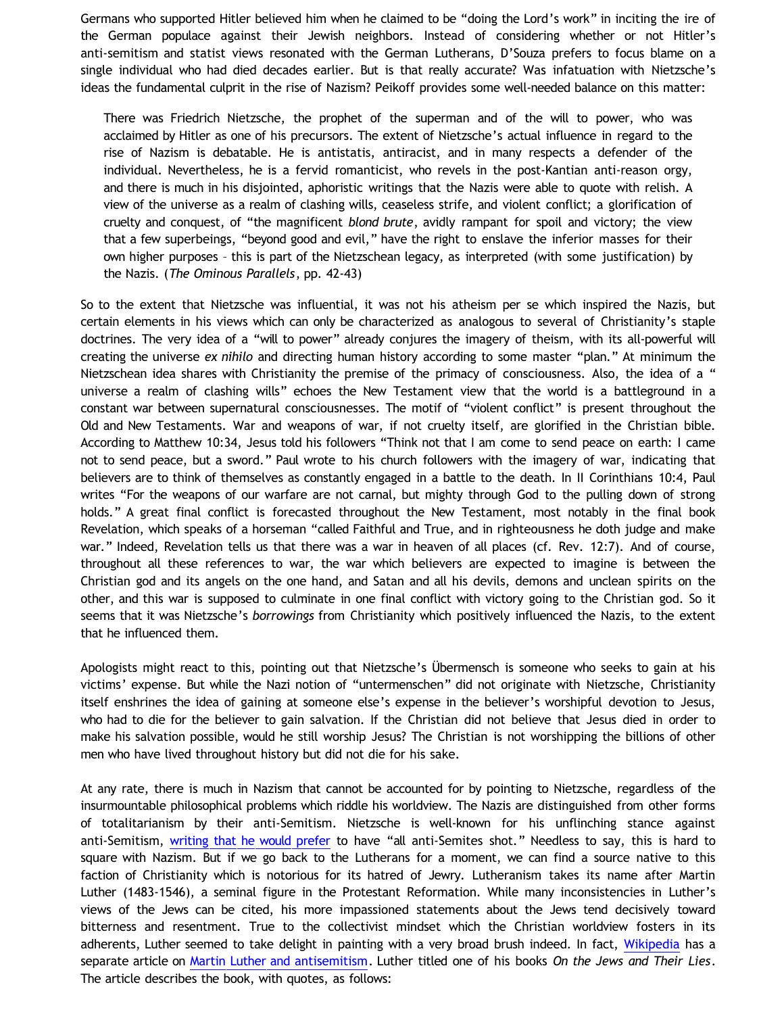Germans who supported Hitler believed him when he claimed to be "doing the Lord's work" in inciting the ire of the German populace against their Jewish neighbors. Instead of considering whether or not Hitler's anti-semitism and statist views resonated with the German Lutherans, D'Souza prefers to focus blame on a single individual who had died decades earlier. But is that really accurate? Was infatuation with Nietzsche's ideas the fundamental culprit in the rise of Nazism? Peikoff provides some well-needed balance on this matter:

There was Friedrich Nietzsche, the prophet of the superman and of the will to power, who was acclaimed by Hitler as one of his precursors. The extent of Nietzsche's actual influence in regard to the rise of Nazism is debatable. He is antistatis, antiracist, and in many respects a defender of the individual. Nevertheless, he is a fervid romanticist, who revels in the post-Kantian anti-reason orgy, and there is much in his disjointed, aphoristic writings that the Nazis were able to quote with relish. A view of the universe as a realm of clashing wills, ceaseless strife, and violent conflict; a glorification of cruelty and conquest, of "the magnificent *blond brute*, avidly rampant for spoil and victory; the view that a few superbeings, "beyond good and evil," have the right to enslave the inferior masses for their own higher purposes – this is part of the Nietzschean legacy, as interpreted (with some justification) by the Nazis. (*The Ominous Parallels*, pp. 42-43)

So to the extent that Nietzsche was influential, it was not his atheism per se which inspired the Nazis, but certain elements in his views which can only be characterized as analogous to several of Christianity's staple doctrines. The very idea of a "will to power" already conjures the imagery of theism, with its all-powerful will creating the universe *ex nihilo* and directing human history according to some master "plan." At minimum the Nietzschean idea shares with Christianity the premise of the primacy of consciousness. Also, the idea of a " universe a realm of clashing wills" echoes the New Testament view that the world is a battleground in a constant war between supernatural consciousnesses. The motif of "violent conflict" is present throughout the Old and New Testaments. War and weapons of war, if not cruelty itself, are glorified in the Christian bible. According to Matthew 10:34, Jesus told his followers "Think not that I am come to send peace on earth: I came not to send peace, but a sword." Paul wrote to his church followers with the imagery of war, indicating that believers are to think of themselves as constantly engaged in a battle to the death. In II Corinthians 10:4, Paul writes "For the weapons of our warfare are not carnal, but mighty through God to the pulling down of strong holds." A great final conflict is forecasted throughout the New Testament, most notably in the final book Revelation, which speaks of a horseman "called Faithful and True, and in righteousness he doth judge and make war." Indeed, Revelation tells us that there was a war in heaven of all places (cf. Rev. 12:7). And of course, throughout all these references to war, the war which believers are expected to imagine is between the Christian god and its angels on the one hand, and Satan and all his devils, demons and unclean spirits on the other, and this war is supposed to culminate in one final conflict with victory going to the Christian god. So it seems that it was Nietzsche's *borrowings* from Christianity which positively influenced the Nazis, to the extent that he influenced them.

Apologists might react to this, pointing out that Nietzsche's Übermensch is someone who seeks to gain at his victims' expense. But while the Nazi notion of "untermenschen" did not originate with Nietzsche, Christianity itself enshrines the idea of gaining at someone else's expense in the believer's worshipful devotion to Jesus, who had to die for the believer to gain salvation. If the Christian did not believe that Jesus died in order to make his salvation possible, would he still worship Jesus? The Christian is not worshipping the billions of other men who have lived throughout history but did not die for his sake.

At any rate, there is much in Nazism that cannot be accounted for by pointing to Nietzsche, regardless of the insurmountable philosophical problems which riddle his worldview. The Nazis are distinguished from other forms of totalitarianism by their anti-Semitism. Nietzsche is well-known for his unflinching stance against anti-Semitism, [writing that he would prefer](http://infolab.stanford.edu/~gary/quotes) to have "all anti-Semites shot." Needless to say, this is hard to square with Nazism. But if we go back to the Lutherans for a moment, we can find a source native to this faction of Christianity which is notorious for its hatred of Jewry. Lutheranism takes its name after Martin Luther (1483-1546), a seminal figure in the Protestant Reformation. While many inconsistencies in Luther's views of the Jews can be cited, his more impassioned statements about the Jews tend decisively toward bitterness and resentment. True to the collectivist mindset which the Christian worldview fosters in its adherents, Luther seemed to take delight in painting with a very broad brush indeed. In fact, [Wikipedia](http://www.blogger.com/) has a separate article on [Martin Luther and antisemitism](http://en.wikipedia.org/wiki/Martin_Luther_and_antisemitism). Luther titled one of his books *On the Jews and Their Lies*. The article describes the book, with quotes, as follows: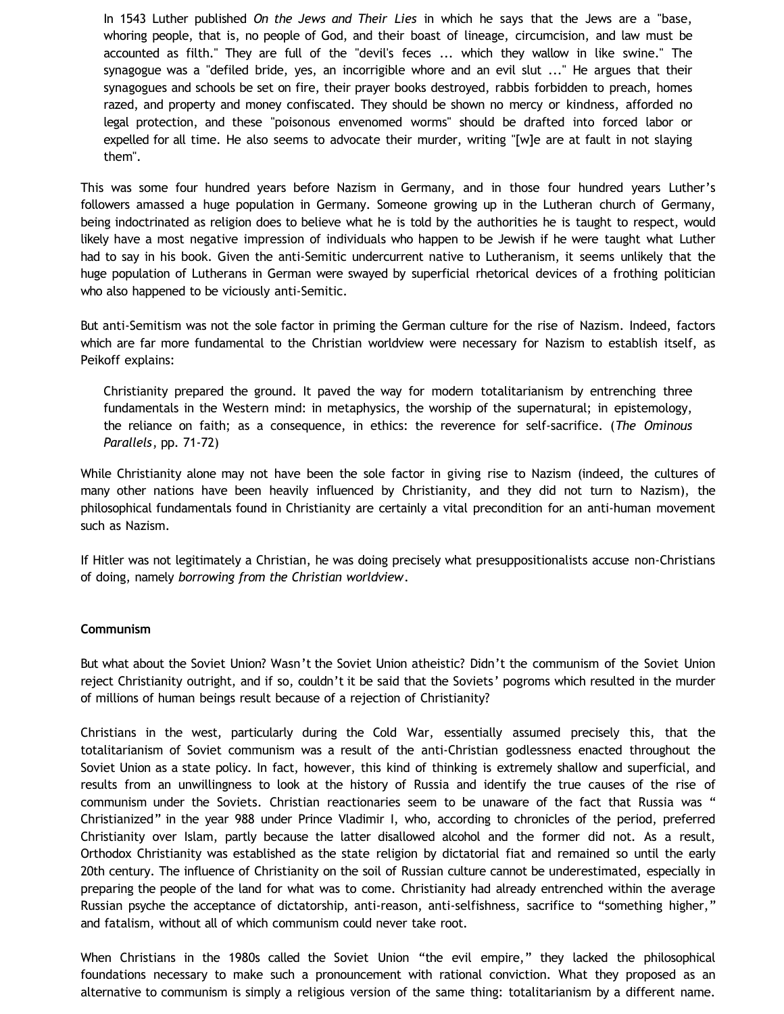In 1543 Luther published *On the Jews and Their Lies* in which he says that the Jews are a "base, whoring people, that is, no people of God, and their boast of lineage, circumcision, and law must be accounted as filth." They are full of the "devil's feces ... which they wallow in like swine." The synagogue was a "defiled bride, yes, an incorrigible whore and an evil slut ..." He argues that their synagogues and schools be set on fire, their prayer books destroyed, rabbis forbidden to preach, homes razed, and property and money confiscated. They should be shown no mercy or kindness, afforded no legal protection, and these "poisonous envenomed worms" should be drafted into forced labor or expelled for all time. He also seems to advocate their murder, writing "[w]e are at fault in not slaying them".

This was some four hundred years before Nazism in Germany, and in those four hundred years Luther's followers amassed a huge population in Germany. Someone growing up in the Lutheran church of Germany, being indoctrinated as religion does to believe what he is told by the authorities he is taught to respect, would likely have a most negative impression of individuals who happen to be Jewish if he were taught what Luther had to say in his book. Given the anti-Semitic undercurrent native to Lutheranism, it seems unlikely that the huge population of Lutherans in German were swayed by superficial rhetorical devices of a frothing politician who also happened to be viciously anti-Semitic.

But anti-Semitism was not the sole factor in priming the German culture for the rise of Nazism. Indeed, factors which are far more fundamental to the Christian worldview were necessary for Nazism to establish itself, as Peikoff explains:

Christianity prepared the ground. It paved the way for modern totalitarianism by entrenching three fundamentals in the Western mind: in metaphysics, the worship of the supernatural; in epistemology, the reliance on faith; as a consequence, in ethics: the reverence for self-sacrifice. (*The Ominous Parallels*, pp. 71-72)

While Christianity alone may not have been the sole factor in giving rise to Nazism (indeed, the cultures of many other nations have been heavily influenced by Christianity, and they did not turn to Nazism), the philosophical fundamentals found in Christianity are certainly a vital precondition for an anti-human movement such as Nazism.

If Hitler was not legitimately a Christian, he was doing precisely what presuppositionalists accuse non-Christians of doing, namely *borrowing from the Christian worldview*.

#### **Communism**

But what about the Soviet Union? Wasn't the Soviet Union atheistic? Didn't the communism of the Soviet Union reject Christianity outright, and if so, couldn't it be said that the Soviets' pogroms which resulted in the murder of millions of human beings result because of a rejection of Christianity?

Christians in the west, particularly during the Cold War, essentially assumed precisely this, that the totalitarianism of Soviet communism was a result of the anti-Christian godlessness enacted throughout the Soviet Union as a state policy. In fact, however, this kind of thinking is extremely shallow and superficial, and results from an unwillingness to look at the history of Russia and identify the true causes of the rise of communism under the Soviets. Christian reactionaries seem to be unaware of the fact that Russia was " Christianized" in the year 988 under Prince Vladimir I, who, according to chronicles of the period, preferred Christianity over Islam, partly because the latter disallowed alcohol and the former did not. As a result, Orthodox Christianity was established as the state religion by dictatorial fiat and remained so until the early 20th century. The influence of Christianity on the soil of Russian culture cannot be underestimated, especially in preparing the people of the land for what was to come. Christianity had already entrenched within the average Russian psyche the acceptance of dictatorship, anti-reason, anti-selfishness, sacrifice to "something higher," and fatalism, without all of which communism could never take root.

When Christians in the 1980s called the Soviet Union "the evil empire," they lacked the philosophical foundations necessary to make such a pronouncement with rational conviction. What they proposed as an alternative to communism is simply a religious version of the same thing: totalitarianism by a different name.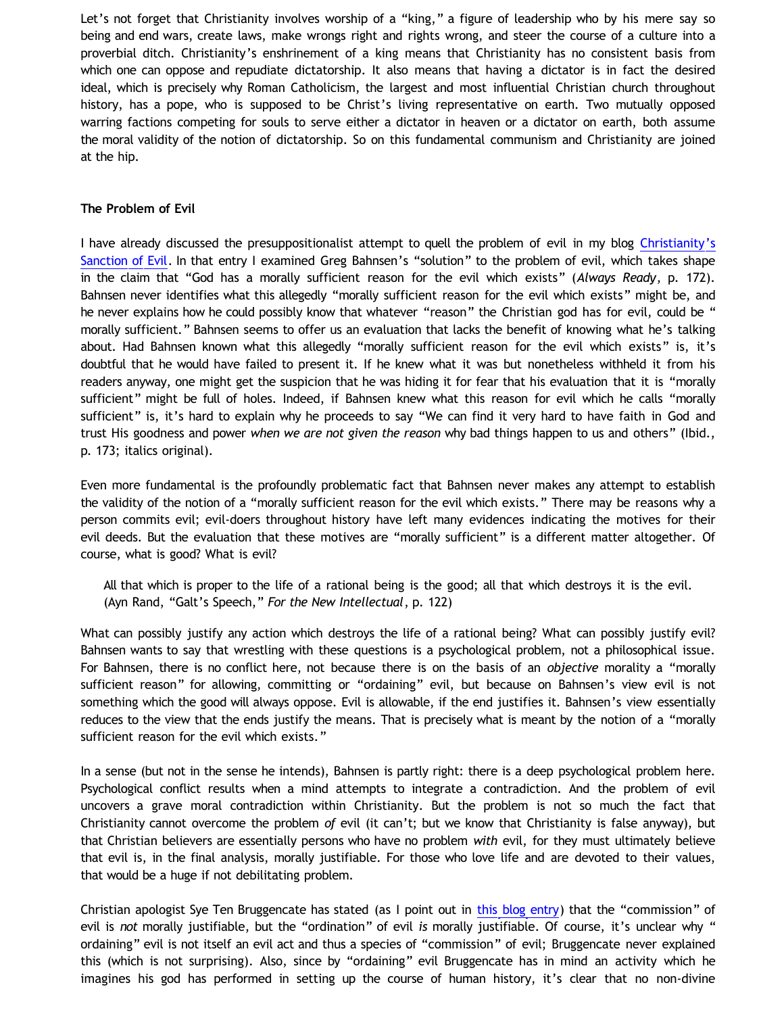Let's not forget that Christianity involves worship of a "king," a figure of leadership who by his mere say so being and end wars, create laws, make wrongs right and rights wrong, and steer the course of a culture into a proverbial ditch. Christianity's enshrinement of a king means that Christianity has no consistent basis from which one can oppose and repudiate dictatorship. It also means that having a dictator is in fact the desired ideal, which is precisely why Roman Catholicism, the largest and most influential Christian church throughout history, has a pope, who is supposed to be Christ's living representative on earth. Two mutually opposed warring factions competing for souls to serve either a dictator in heaven or a dictator on earth, both assume the moral validity of the notion of dictatorship. So on this fundamental communism and Christianity are joined at the hip.

### **The Problem of Evil**

I have already discussed the presuppositionalist attempt to quell the problem of evil in my blog [Christianity's](http://bahnsenburner.blogspot.com/2011/12/christianitys-sanction-of-evil.html) [Sanction of Evil](http://bahnsenburner.blogspot.com/2011/12/christianitys-sanction-of-evil.html). In that entry I examined Greg Bahnsen's "solution" to the problem of evil, which takes shape in the claim that "God has a morally sufficient reason for the evil which exists" (*Always Ready*, p. 172). Bahnsen never identifies what this allegedly "morally sufficient reason for the evil which exists" might be, and he never explains how he could possibly know that whatever "reason" the Christian god has for evil, could be " morally sufficient." Bahnsen seems to offer us an evaluation that lacks the benefit of knowing what he's talking about. Had Bahnsen known what this allegedly "morally sufficient reason for the evil which exists" is, it's doubtful that he would have failed to present it. If he knew what it was but nonetheless withheld it from his readers anyway, one might get the suspicion that he was hiding it for fear that his evaluation that it is "morally sufficient" might be full of holes. Indeed, if Bahnsen knew what this reason for evil which he calls "morally sufficient" is, it's hard to explain why he proceeds to say "We can find it very hard to have faith in God and trust His goodness and power *when we are not given the reason* why bad things happen to us and others" (Ibid., p. 173; italics original).

Even more fundamental is the profoundly problematic fact that Bahnsen never makes any attempt to establish the validity of the notion of a "morally sufficient reason for the evil which exists." There may be reasons why a person commits evil; evil-doers throughout history have left many evidences indicating the motives for their evil deeds. But the evaluation that these motives are "morally sufficient" is a different matter altogether. Of course, what is good? What is evil?

All that which is proper to the life of a rational being is the good; all that which destroys it is the evil. (Ayn Rand, "Galt's Speech," *For the New Intellectual*, p. 122)

What can possibly justify any action which destroys the life of a rational being? What can possibly justify evil? Bahnsen wants to say that wrestling with these questions is a psychological problem, not a philosophical issue. For Bahnsen, there is no conflict here, not because there is on the basis of an *objective* morality a "morally sufficient reason" for allowing, committing or "ordaining" evil, but because on Bahnsen's view evil is not something which the good will always oppose. Evil is allowable, if the end justifies it. Bahnsen's view essentially reduces to the view that the ends justify the means. That is precisely what is meant by the notion of a "morally sufficient reason for the evil which exists."

In a sense (but not in the sense he intends), Bahnsen is partly right: there is a deep psychological problem here. Psychological conflict results when a mind attempts to integrate a contradiction. And the problem of evil uncovers a grave moral contradiction within Christianity. But the problem is not so much the fact that Christianity cannot overcome the problem *of* evil (it can't; but we know that Christianity is false anyway), but that Christian believers are essentially persons who have no problem *with* evil, for they must ultimately believe that evil is, in the final analysis, morally justifiable. For those who love life and are devoted to their values, that would be a huge if not debilitating problem.

Christian apologist Sye Ten Bruggencate has stated (as I point out in [this blog entry](http://bahnsenburner.blogspot.com/2011/12/christianitys-sanction-of-evil.html)) that the "commission" of evil is *not* morally justifiable, but the "ordination" of evil *is* morally justifiable. Of course, it's unclear why " ordaining" evil is not itself an evil act and thus a species of "commission" of evil; Bruggencate never explained this (which is not surprising). Also, since by "ordaining" evil Bruggencate has in mind an activity which he imagines his god has performed in setting up the course of human history, it's clear that no non-divine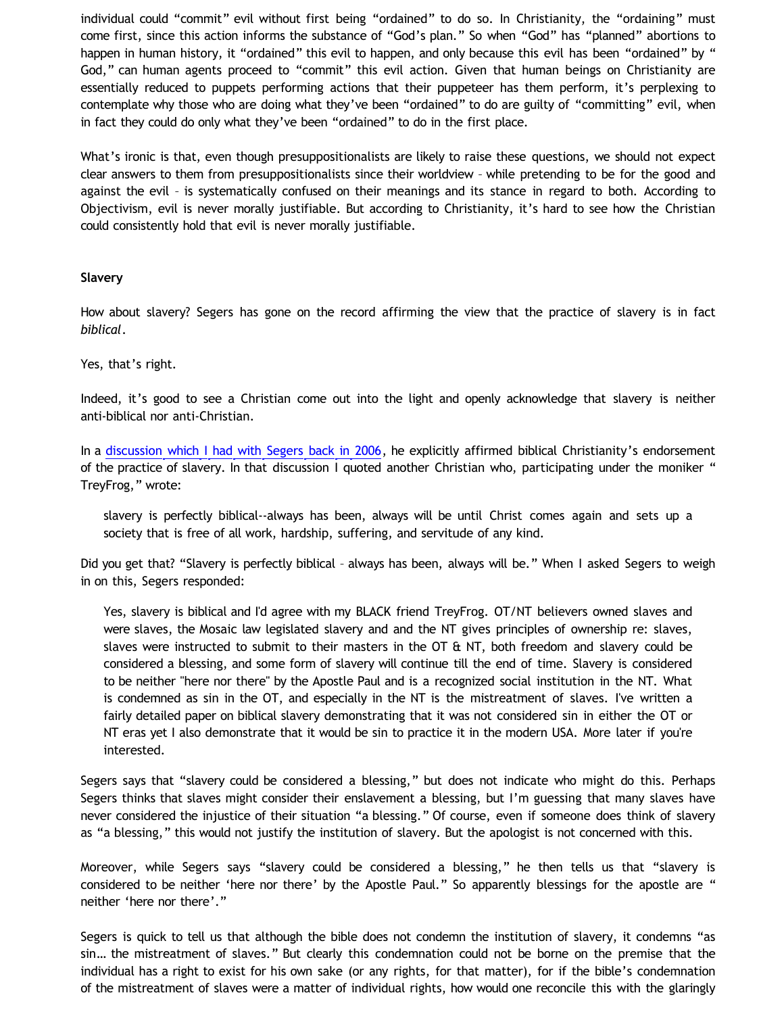individual could "commit" evil without first being "ordained" to do so. In Christianity, the "ordaining" must come first, since this action informs the substance of "God's plan." So when "God" has "planned" abortions to happen in human history, it "ordained" this evil to happen, and only because this evil has been "ordained" by " God," can human agents proceed to "commit" this evil action. Given that human beings on Christianity are essentially reduced to puppets performing actions that their puppeteer has them perform, it's perplexing to contemplate why those who are doing what they've been "ordained" to do are guilty of "committing" evil, when in fact they could do only what they've been "ordained" to do in the first place.

What's ironic is that, even though presuppositionalists are likely to raise these questions, we should not expect clear answers to them from presuppositionalists since their worldview – while pretending to be for the good and against the evil – is systematically confused on their meanings and its stance in regard to both. According to Objectivism, evil is never morally justifiable. But according to Christianity, it's hard to see how the Christian could consistently hold that evil is never morally justifiable.

#### **Slavery**

How about slavery? Segers has gone on the record affirming the view that the practice of slavery is in fact *biblical*.

Yes, that's right.

Indeed, it's good to see a Christian come out into the light and openly acknowledge that slavery is neither anti-biblical nor anti-Christian.

In a [discussion which I had with Segers back in 2006](http://katholon.com/ContraDusman0106.htm), he explicitly affirmed biblical Christianity's endorsement of the practice of slavery. In that discussion I quoted another Christian who, participating under the moniker " TreyFrog," wrote:

slavery is perfectly biblical--always has been, always will be until Christ comes again and sets up a society that is free of all work, hardship, suffering, and servitude of any kind.

Did you get that? "Slavery is perfectly biblical – always has been, always will be." When I asked Segers to weigh in on this, Segers responded:

Yes, slavery is biblical and I'd agree with my BLACK friend TreyFrog. OT/NT believers owned slaves and were slaves, the Mosaic law legislated slavery and and the NT gives principles of ownership re: slaves, slaves were instructed to submit to their masters in the OT  $\&$  NT, both freedom and slavery could be considered a blessing, and some form of slavery will continue till the end of time. Slavery is considered to be neither "here nor there" by the Apostle Paul and is a recognized social institution in the NT. What is condemned as sin in the OT, and especially in the NT is the mistreatment of slaves. I've written a fairly detailed paper on biblical slavery demonstrating that it was not considered sin in either the OT or NT eras yet I also demonstrate that it would be sin to practice it in the modern USA. More later if you're interested.

Segers says that "slavery could be considered a blessing," but does not indicate who might do this. Perhaps Segers thinks that slaves might consider their enslavement a blessing, but I'm guessing that many slaves have never considered the injustice of their situation "a blessing." Of course, even if someone does think of slavery as "a blessing," this would not justify the institution of slavery. But the apologist is not concerned with this.

Moreover, while Segers says "slavery could be considered a blessing," he then tells us that "slavery is considered to be neither 'here nor there' by the Apostle Paul." So apparently blessings for the apostle are " neither 'here nor there'."

Segers is quick to tell us that although the bible does not condemn the institution of slavery, it condemns "as sin… the mistreatment of slaves." But clearly this condemnation could not be borne on the premise that the individual has a right to exist for his own sake (or any rights, for that matter), for if the bible's condemnation of the mistreatment of slaves were a matter of individual rights, how would one reconcile this with the glaringly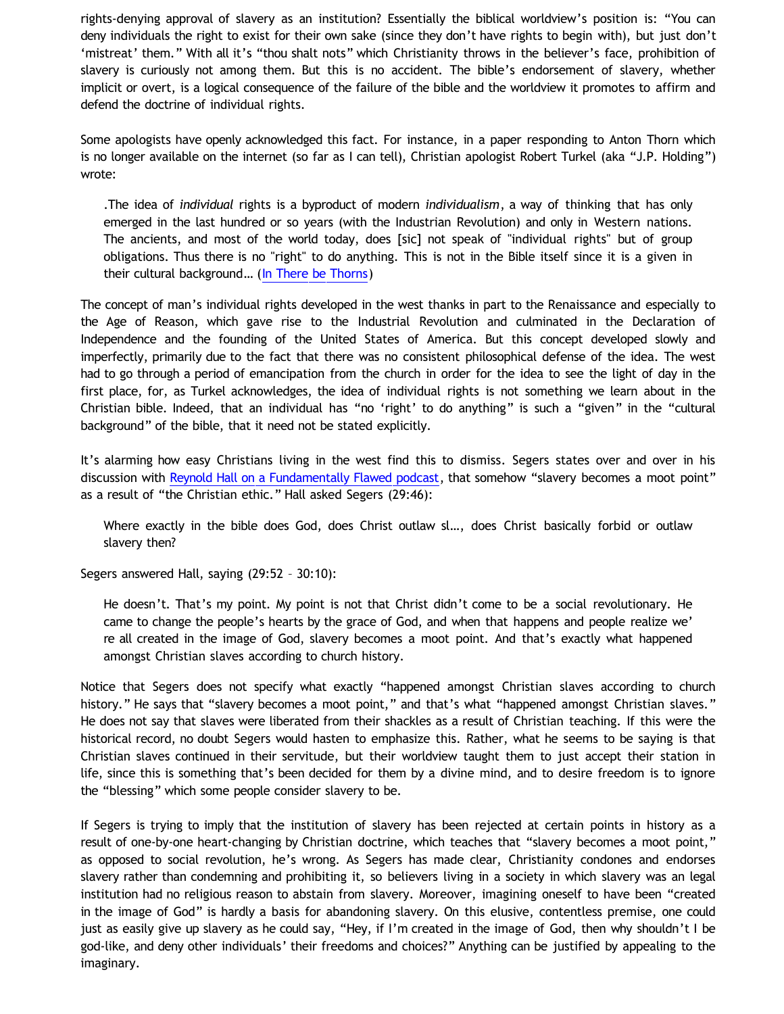rights-denying approval of slavery as an institution? Essentially the biblical worldview's position is: "You can deny individuals the right to exist for their own sake (since they don't have rights to begin with), but just don't 'mistreat' them." With all it's "thou shalt nots" which Christianity throws in the believer's face, prohibition of slavery is curiously not among them. But this is no accident. The bible's endorsement of slavery, whether implicit or overt, is a logical consequence of the failure of the bible and the worldview it promotes to affirm and defend the doctrine of individual rights.

Some apologists have openly acknowledged this fact. For instance, in a paper responding to Anton Thorn which is no longer available on the internet (so far as I can tell), Christian apologist Robert Turkel (aka "J.P. Holding") wrote:

.The idea of *individual* rights is a byproduct of modern *individualism*, a way of thinking that has only emerged in the last hundred or so years (with the Industrian Revolution) and only in Western nations. The ancients, and most of the world today, does [sic] not speak of "individual rights" but of group obligations. Thus there is no "right" to do anything. This is not in the Bible itself since it is a given in their cultural background… ([In There be Thorns](http://www.tektonics.org/thorny.html))

The concept of man's individual rights developed in the west thanks in part to the Renaissance and especially to the Age of Reason, which gave rise to the Industrial Revolution and culminated in the Declaration of Independence and the founding of the United States of America. But this concept developed slowly and imperfectly, primarily due to the fact that there was no consistent philosophical defense of the idea. The west had to go through a period of emancipation from the church in order for the idea to see the light of day in the first place, for, as Turkel acknowledges, the idea of individual rights is not something we learn about in the Christian bible. Indeed, that an individual has "no 'right' to do anything" is such a "given" in the "cultural background" of the bible, that it need not be stated explicitly.

It's alarming how easy Christians living in the west find this to dismiss. Segers states over and over in his discussion with [Reynold Hall on a Fundamentally Flawed podcast,](http://fundamentally-flawed.com/pods/?p=episode&name=2011-11-12_dustinsegersandreynoldhall.mp3) that somehow "slavery becomes a moot point" as a result of "the Christian ethic." Hall asked Segers (29:46):

Where exactly in the bible does God, does Christ outlaw sl…, does Christ basically forbid or outlaw slavery then?

Segers answered Hall, saying (29:52 – 30:10):

He doesn't. That's my point. My point is not that Christ didn't come to be a social revolutionary. He came to change the people's hearts by the grace of God, and when that happens and people realize we' re all created in the image of God, slavery becomes a moot point. And that's exactly what happened amongst Christian slaves according to church history.

Notice that Segers does not specify what exactly "happened amongst Christian slaves according to church history." He says that "slavery becomes a moot point," and that's what "happened amongst Christian slaves." He does not say that slaves were liberated from their shackles as a result of Christian teaching. If this were the historical record, no doubt Segers would hasten to emphasize this. Rather, what he seems to be saying is that Christian slaves continued in their servitude, but their worldview taught them to just accept their station in life, since this is something that's been decided for them by a divine mind, and to desire freedom is to ignore the "blessing" which some people consider slavery to be.

If Segers is trying to imply that the institution of slavery has been rejected at certain points in history as a result of one-by-one heart-changing by Christian doctrine, which teaches that "slavery becomes a moot point," as opposed to social revolution, he's wrong. As Segers has made clear, Christianity condones and endorses slavery rather than condemning and prohibiting it, so believers living in a society in which slavery was an legal institution had no religious reason to abstain from slavery. Moreover, imagining oneself to have been "created in the image of God" is hardly a basis for abandoning slavery. On this elusive, contentless premise, one could just as easily give up slavery as he could say, "Hey, if I'm created in the image of God, then why shouldn't I be god-like, and deny other individuals' their freedoms and choices?" Anything can be justified by appealing to the imaginary.